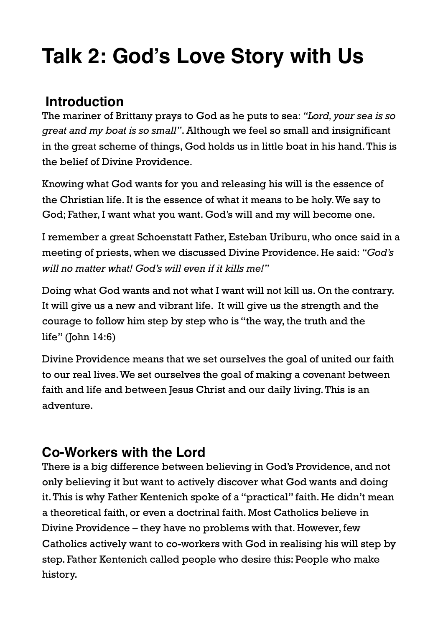# **Talk 2: God's Love Story with Us**

# **Introduction**

The mariner of Brittany prays to God as he puts to sea: *"Lord, your sea is so great and my boat is so small"*. Although we feel so small and insignificant in the great scheme of things, God holds us in little boat in his hand. This is the belief of Divine Providence.

Knowing what God wants for you and releasing his will is the essence of the Christian life. It is the essence of what it means to be holy. We say to God; Father, I want what you want. God's will and my will become one.

I remember a great Schoenstatt Father, Esteban Uriburu, who once said in a meeting of priests, when we discussed Divine Providence. He said: *"God's will no matter what! God's will even if it kills me!"*

Doing what God wants and not what I want will not kill us. On the contrary. It will give us a new and vibrant life. It will give us the strength and the courage to follow him step by step who is "the way, the truth and the life" (John 14:6)

Divine Providence means that we set ourselves the goal of united our faith to our real lives. We set ourselves the goal of making a covenant between faith and life and between Jesus Christ and our daily living. This is an adventure.

## **Co-Workers with the Lord**

There is a big difference between believing in God's Providence, and not only believing it but want to actively discover what God wants and doing it. This is why Father Kentenich spoke of a "practical" faith. He didn't mean a theoretical faith, or even a doctrinal faith. Most Catholics believe in Divine Providence – they have no problems with that. However, few Catholics actively want to co-workers with God in realising his will step by step. Father Kentenich called people who desire this: People who make history.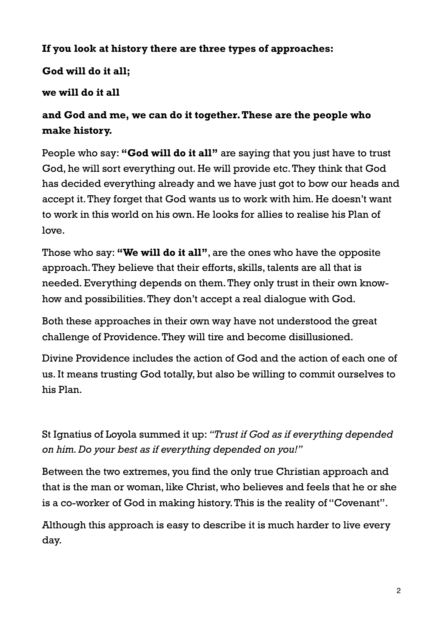#### **If you look at history there are three types of approaches:**

#### **God will do it all;**

#### **we will do it all**

#### **and God and me, we can do it together. These are the people who make history.**

People who say: **"God will do it all"** are saying that you just have to trust God, he will sort everything out. He will provide etc. They think that God has decided everything already and we have just got to bow our heads and accept it. They forget that God wants us to work with him. He doesn't want to work in this world on his own. He looks for allies to realise his Plan of love.

Those who say: **"We will do it all"**, are the ones who have the opposite approach. They believe that their efforts, skills, talents are all that is needed. Everything depends on them. They only trust in their own knowhow and possibilities. They don't accept a real dialogue with God.

Both these approaches in their own way have not understood the great challenge of Providence. They will tire and become disillusioned.

Divine Providence includes the action of God and the action of each one of us. It means trusting God totally, but also be willing to commit ourselves to his Plan.

St Ignatius of Loyola summed it up: *"Trust if God as if everything depended on him. Do your best as if everything depended on you!"* 

Between the two extremes, you find the only true Christian approach and that is the man or woman, like Christ, who believes and feels that he or she is a co-worker of God in making history. This is the reality of "Covenant".

Although this approach is easy to describe it is much harder to live every day.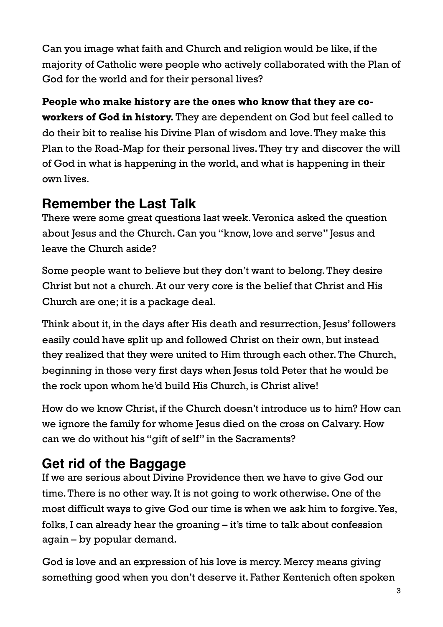Can you image what faith and Church and religion would be like, if the majority of Catholic were people who actively collaborated with the Plan of God for the world and for their personal lives?

**People who make history are the ones who know that they are coworkers of God in history.** They are dependent on God but feel called to do their bit to realise his Divine Plan of wisdom and love. They make this Plan to the Road-Map for their personal lives. They try and discover the will of God in what is happening in the world, and what is happening in their own lives.

# **Remember the Last Talk**

There were some great questions last week. Veronica asked the question about Jesus and the Church. Can you "know, love and serve" Jesus and leave the Church aside?

Some people want to believe but they don't want to belong. They desire Christ but not a church. At our very core is the belief that Christ and His Church are one; it is a package deal.

Think about it, in the days after His death and resurrection, Jesus' followers easily could have split up and followed Christ on their own, but instead they realized that they were united to Him through each other. The Church, beginning in those very first days when Jesus told Peter that he would be the rock upon whom he'd build His Church, is Christ alive!

How do we know Christ, if the Church doesn't introduce us to him? How can we ignore the family for whome Jesus died on the cross on Calvary. How can we do without his "gift of self" in the Sacraments?

# **Get rid of the Baggage**

If we are serious about Divine Providence then we have to give God our time. There is no other way. It is not going to work otherwise. One of the most difficult ways to give God our time is when we ask him to forgive. Yes, folks, I can already hear the groaning – it's time to talk about confession again – by popular demand.

God is love and an expression of his love is mercy. Mercy means giving something good when you don't deserve it. Father Kentenich often spoken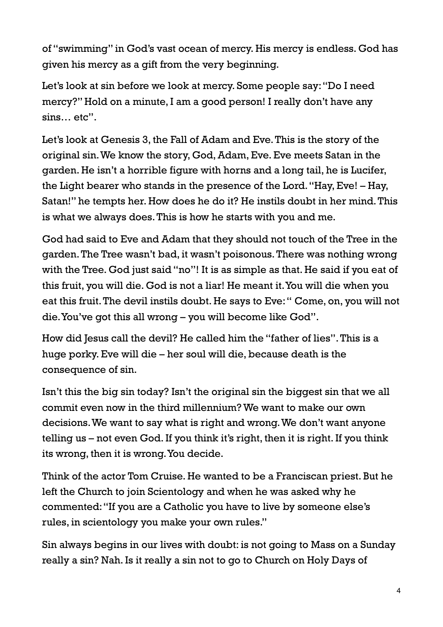of "swimming" in God's vast ocean of mercy. His mercy is endless. God has given his mercy as a gift from the very beginning.

Let's look at sin before we look at mercy. Some people say: "Do I need mercy?" Hold on a minute, I am a good person! I really don't have any sins… etc".

Let's look at Genesis 3, the Fall of Adam and Eve. This is the story of the original sin. We know the story, God, Adam, Eve. Eve meets Satan in the garden. He isn't a horrible figure with horns and a long tail, he is Lucifer, the Light bearer who stands in the presence of the Lord. "Hay, Eve! – Hay, Satan!" he tempts her. How does he do it? He instils doubt in her mind. This is what we always does. This is how he starts with you and me.

God had said to Eve and Adam that they should not touch of the Tree in the garden. The Tree wasn't bad, it wasn't poisonous. There was nothing wrong with the Tree. God just said "no"! It is as simple as that. He said if you eat of this fruit, you will die. God is not a liar! He meant it. You will die when you eat this fruit. The devil instils doubt. He says to Eve: " Come, on, you will not die. You've got this all wrong – you will become like God".

How did Jesus call the devil? He called him the "father of lies". This is a huge porky. Eve will die – her soul will die, because death is the consequence of sin.

Isn't this the big sin today? Isn't the original sin the biggest sin that we all commit even now in the third millennium? We want to make our own decisions. We want to say what is right and wrong. We don't want anyone telling us – not even God. If you think it's right, then it is right. If you think its wrong, then it is wrong. You decide.

Think of the actor Tom Cruise. He wanted to be a Franciscan priest. But he left the Church to join Scientology and when he was asked why he commented: "If you are a Catholic you have to live by someone else's rules, in scientology you make your own rules."

Sin always begins in our lives with doubt: is not going to Mass on a Sunday really a sin? Nah. Is it really a sin not to go to Church on Holy Days of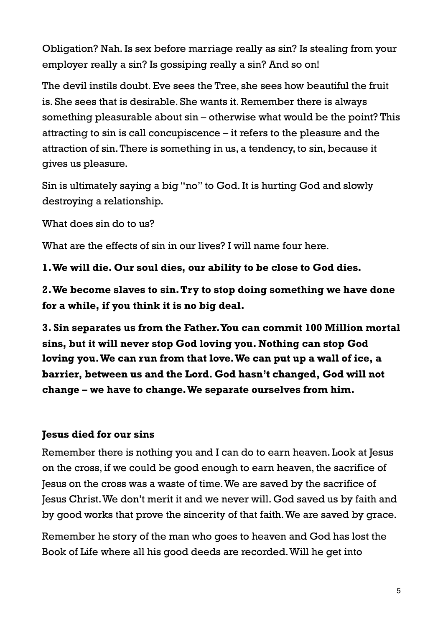Obligation? Nah. Is sex before marriage really as sin? Is stealing from your employer really a sin? Is gossiping really a sin? And so on!

The devil instils doubt. Eve sees the Tree, she sees how beautiful the fruit is. She sees that is desirable. She wants it. Remember there is always something pleasurable about sin – otherwise what would be the point? This attracting to sin is call concupiscence – it refers to the pleasure and the attraction of sin. There is something in us, a tendency, to sin, because it gives us pleasure.

Sin is ultimately saying a big "no" to God. It is hurting God and slowly destroying a relationship.

What does sin do to us?

What are the effects of sin in our lives? I will name four here.

**1. We will die. Our soul dies, our ability to be close to God dies.**

**2. We become slaves to sin. Try to stop doing something we have done for a while, if you think it is no big deal.**

**3. Sin separates us from the Father. You can commit 100 Million mortal sins, but it will never stop God loving you. Nothing can stop God loving you. We can run from that love. We can put up a wall of ice, a barrier, between us and the Lord. God hasn't changed, God will not change – we have to change. We separate ourselves from him.**

#### **Jesus died for our sins**

Remember there is nothing you and I can do to earn heaven. Look at Jesus on the cross, if we could be good enough to earn heaven, the sacrifice of Jesus on the cross was a waste of time. We are saved by the sacrifice of Jesus Christ. We don't merit it and we never will. God saved us by faith and by good works that prove the sincerity of that faith. We are saved by grace.

Remember he story of the man who goes to heaven and God has lost the Book of Life where all his good deeds are recorded. Will he get into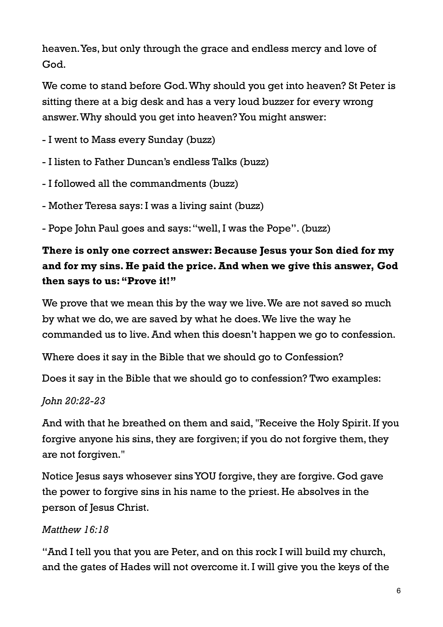heaven. Yes, but only through the grace and endless mercy and love of God.

We come to stand before God. Why should you get into heaven? St Peter is sitting there at a big desk and has a very loud buzzer for every wrong answer. Why should you get into heaven? You might answer:

- I went to Mass every Sunday (buzz)

- I listen to Father Duncan's endless Talks (buzz)

- I followed all the commandments (buzz)

- Mother Teresa says: I was a living saint (buzz)

- Pope John Paul goes and says: "well, I was the Pope". (buzz)

#### **There is only one correct answer: Because Jesus your Son died for my and for my sins. He paid the price. And when we give this answer, God then says to us: "Prove it!"**

We prove that we mean this by the way we live. We are not saved so much by what we do, we are saved by what he does. We live the way he commanded us to live. And when this doesn't happen we go to confession.

Where does it say in the Bible that we should go to Confession?

Does it say in the Bible that we should go to confession? Two examples:

#### *John 20:22-23*

And with that he breathed on them and said, "Receive the Holy Spirit. If you forgive anyone his sins, they are forgiven; if you do not forgive them, they are not forgiven."

Notice Jesus says whosever sins YOU forgive, they are forgive. God gave the power to forgive sins in his name to the priest. He absolves in the person of Jesus Christ.

#### *Matthew 16:18*

"And I tell you that you are Peter, and on this rock I will build my church, and the gates of Hades will not overcome it. I will give you the keys of the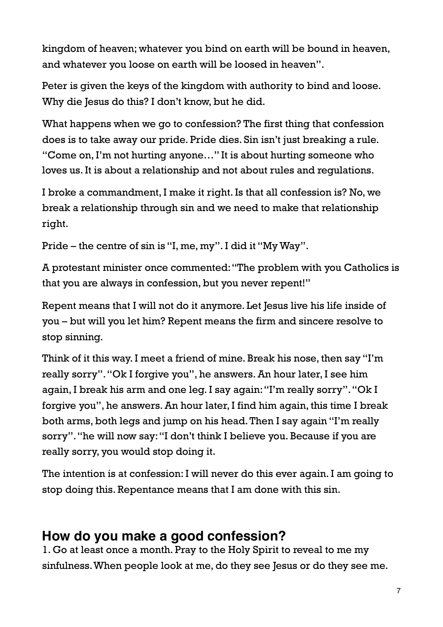kingdom of heaven; whatever you bind on earth will be bound in heaven, and whatever you loose on earth will be loosed in heaven".

Peter is given the keys of the kingdom with authority to bind and loose. Why die Jesus do this? I don't know, but he did.

What happens when we go to confession? The first thing that confession does is to take away our pride. Pride dies. Sin isn't just breaking a rule. "Come on, I'm not hurting anyone…" It is about hurting someone who loves us. It is about a relationship and not about rules and regulations.

I broke a commandment, I make it right. Is that all confession is? No, we break a relationship through sin and we need to make that relationship right.

Pride – the centre of sin is "I, me, my". I did it "My Way".

A protestant minister once commented: "The problem with you Catholics is that you are always in confession, but you never repent!"

Repent means that I will not do it anymore. Let Jesus live his life inside of you – but will you let him? Repent means the firm and sincere resolve to stop sinning.

Think of it this way. I meet a friend of mine. Break his nose, then say "I'm really sorry". "Ok I forgive you", he answers. An hour later, I see him again, I break his arm and one leg. I say again: "I'm really sorry". "Ok I forgive you", he answers. An hour later, I find him again, this time I break both arms, both legs and jump on his head. Then I say again "I'm really sorry". "he will now say: "I don't think I believe you. Because if you are really sorry, you would stop doing it.

The intention is at confession: I will never do this ever again. I am going to stop doing this. Repentance means that I am done with this sin.

## **How do you make a good confession?**

1. Go at least once a month. Pray to the Holy Spirit to reveal to me my sinfulness. When people look at me, do they see Jesus or do they see me.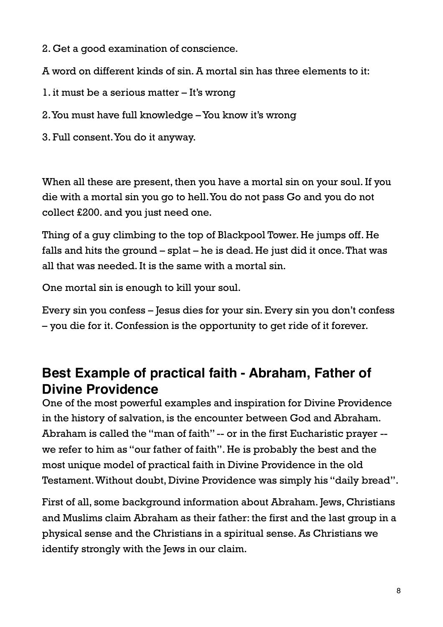- 2. Get a good examination of conscience.
- A word on different kinds of sin. A mortal sin has three elements to it:
- 1. it must be a serious matter It's wrong
- 2. You must have full knowledge You know it's wrong
- 3. Full consent. You do it anyway.

When all these are present, then you have a mortal sin on your soul. If you die with a mortal sin you go to hell. You do not pass Go and you do not collect £200. and you just need one.

Thing of a guy climbing to the top of Blackpool Tower. He jumps off. He falls and hits the ground – splat – he is dead. He just did it once. That was all that was needed. It is the same with a mortal sin.

One mortal sin is enough to kill your soul.

Every sin you confess – Jesus dies for your sin. Every sin you don't confess – you die for it. Confession is the opportunity to get ride of it forever.

# **Best Example of practical faith - Abraham, Father of Divine Providence**

One of the most powerful examples and inspiration for Divine Providence in the history of salvation, is the encounter between God and Abraham. Abraham is called the "man of faith" -- or in the first Eucharistic prayer - we refer to him as "our father of faith". He is probably the best and the most unique model of practical faith in Divine Providence in the old Testament. Without doubt, Divine Providence was simply his "daily bread".

First of all, some background information about Abraham. Jews, Christians and Muslims claim Abraham as their father: the first and the last group in a physical sense and the Christians in a spiritual sense. As Christians we identify strongly with the Jews in our claim.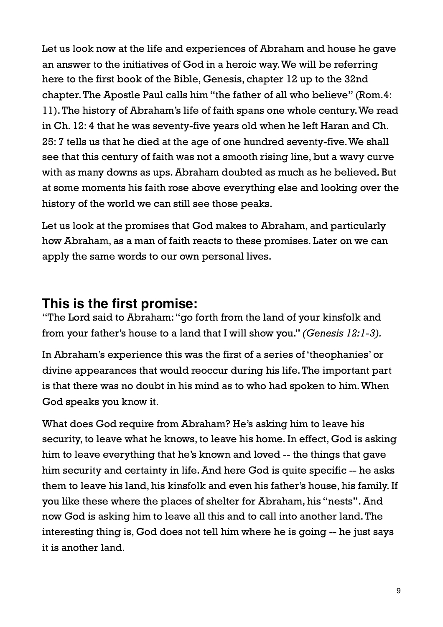Let us look now at the life and experiences of Abraham and house he gave an answer to the initiatives of God in a heroic way. We will be referring here to the first book of the Bible, Genesis, chapter 12 up to the 32nd chapter. The Apostle Paul calls him "the father of all who believe" (Rom.4: 11). The history of Abraham's life of faith spans one whole century. We read in Ch. 12: 4 that he was seventy-five years old when he left Haran and Ch. 25: 7 tells us that he died at the age of one hundred seventy-five. We shall see that this century of faith was not a smooth rising line, but a wavy curve with as many downs as ups. Abraham doubted as much as he believed. But at some moments his faith rose above everything else and looking over the history of the world we can still see those peaks.

Let us look at the promises that God makes to Abraham, and particularly how Abraham, as a man of faith reacts to these promises. Later on we can apply the same words to our own personal lives.

### **This is the first promise:**

"The Lord said to Abraham: "go forth from the land of your kinsfolk and from your father's house to a land that I will show you." *(Genesis 12:1-3).*

In Abraham's experience this was the first of a series of 'theophanies' or divine appearances that would reoccur during his life. The important part is that there was no doubt in his mind as to who had spoken to him. When God speaks you know it.

What does God require from Abraham? He's asking him to leave his security, to leave what he knows, to leave his home. In effect, God is asking him to leave everything that he's known and loved -- the things that gave him security and certainty in life. And here God is quite specific -- he asks them to leave his land, his kinsfolk and even his father's house, his family. If you like these where the places of shelter for Abraham, his "nests". And now God is asking him to leave all this and to call into another land. The interesting thing is, God does not tell him where he is going -- he just says it is another land.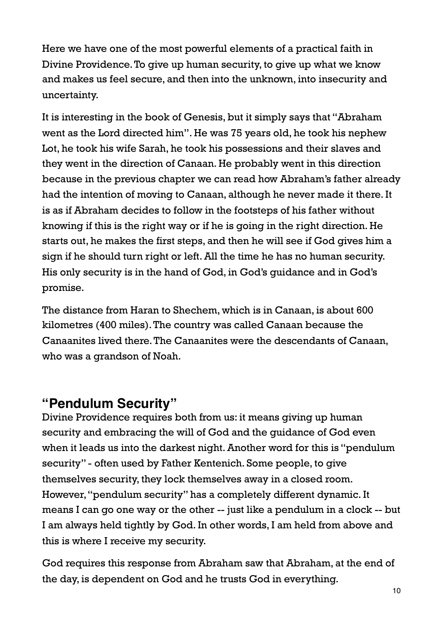Here we have one of the most powerful elements of a practical faith in Divine Providence. To give up human security, to give up what we know and makes us feel secure, and then into the unknown, into insecurity and uncertainty.

It is interesting in the book of Genesis, but it simply says that "Abraham went as the Lord directed him". He was 75 years old, he took his nephew Lot, he took his wife Sarah, he took his possessions and their slaves and they went in the direction of Canaan. He probably went in this direction because in the previous chapter we can read how Abraham's father already had the intention of moving to Canaan, although he never made it there. It is as if Abraham decides to follow in the footsteps of his father without knowing if this is the right way or if he is going in the right direction. He starts out, he makes the first steps, and then he will see if God gives him a sign if he should turn right or left. All the time he has no human security. His only security is in the hand of God, in God's guidance and in God's promise.

The distance from Haran to Shechem, which is in Canaan, is about 600 kilometres (400 miles). The country was called Canaan because the Canaanites lived there. The Canaanites were the descendants of Canaan, who was a grandson of Noah.

### **"Pendulum Security"**

Divine Providence requires both from us: it means giving up human security and embracing the will of God and the guidance of God even when it leads us into the darkest night. Another word for this is "pendulum security" - often used by Father Kentenich. Some people, to give themselves security, they lock themselves away in a closed room. However, "pendulum security" has a completely different dynamic. It means I can go one way or the other -- just like a pendulum in a clock -- but I am always held tightly by God. In other words, I am held from above and this is where I receive my security.

God requires this response from Abraham saw that Abraham, at the end of the day, is dependent on God and he trusts God in everything.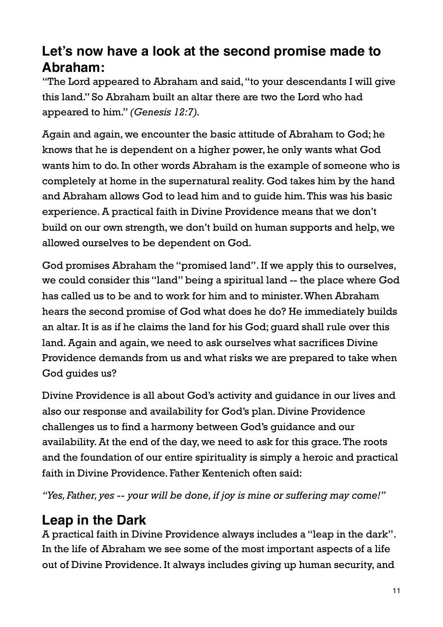# **Let's now have a look at the second promise made to Abraham:**

"The Lord appeared to Abraham and said, "to your descendants I will give this land." So Abraham built an altar there are two the Lord who had appeared to him." *(Genesis 12:7).*

Again and again, we encounter the basic attitude of Abraham to God; he knows that he is dependent on a higher power, he only wants what God wants him to do. In other words Abraham is the example of someone who is completely at home in the supernatural reality. God takes him by the hand and Abraham allows God to lead him and to guide him. This was his basic experience. A practical faith in Divine Providence means that we don't build on our own strength, we don't build on human supports and help, we allowed ourselves to be dependent on God.

God promises Abraham the "promised land". If we apply this to ourselves, we could consider this "land" being a spiritual land -- the place where God has called us to be and to work for him and to minister. When Abraham hears the second promise of God what does he do? He immediately builds an altar. It is as if he claims the land for his God; guard shall rule over this land. Again and again, we need to ask ourselves what sacrifices Divine Providence demands from us and what risks we are prepared to take when God guides us?

Divine Providence is all about God's activity and guidance in our lives and also our response and availability for God's plan. Divine Providence challenges us to find a harmony between God's guidance and our availability. At the end of the day, we need to ask for this grace. The roots and the foundation of our entire spirituality is simply a heroic and practical faith in Divine Providence. Father Kentenich often said:

*"Yes, Father, yes -- your will be done, if joy is mine or suffering may come!"*

# **Leap in the Dark**

A practical faith in Divine Providence always includes a "leap in the dark". In the life of Abraham we see some of the most important aspects of a life out of Divine Providence. It always includes giving up human security, and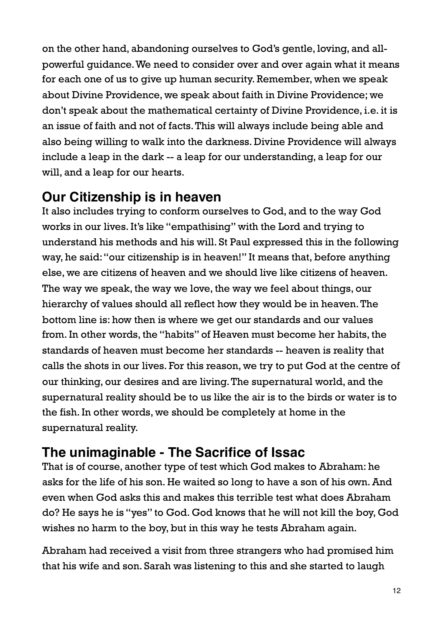on the other hand, abandoning ourselves to God's gentle, loving, and allpowerful guidance. We need to consider over and over again what it means for each one of us to give up human security. Remember, when we speak about Divine Providence, we speak about faith in Divine Providence; we don't speak about the mathematical certainty of Divine Providence, i.e. it is an issue of faith and not of facts. This will always include being able and also being willing to walk into the darkness. Divine Providence will always include a leap in the dark -- a leap for our understanding, a leap for our will, and a leap for our hearts.

## **Our Citizenship is in heaven**

It also includes trying to conform ourselves to God, and to the way God works in our lives. It's like "empathising" with the Lord and trying to understand his methods and his will. St Paul expressed this in the following way, he said: "our citizenship is in heaven!" It means that, before anything else, we are citizens of heaven and we should live like citizens of heaven. The way we speak, the way we love, the way we feel about things, our hierarchy of values should all reflect how they would be in heaven. The bottom line is: how then is where we get our standards and our values from. In other words, the "habits" of Heaven must become her habits, the standards of heaven must become her standards -- heaven is reality that calls the shots in our lives. For this reason, we try to put God at the centre of our thinking, our desires and are living. The supernatural world, and the supernatural reality should be to us like the air is to the birds or water is to the fish. In other words, we should be completely at home in the supernatural reality.

# **The unimaginable - The Sacrifice of Issac**

That is of course, another type of test which God makes to Abraham: he asks for the life of his son. He waited so long to have a son of his own. And even when God asks this and makes this terrible test what does Abraham do? He says he is "yes" to God. God knows that he will not kill the boy, God wishes no harm to the boy, but in this way he tests Abraham again.

Abraham had received a visit from three strangers who had promised him that his wife and son. Sarah was listening to this and she started to laugh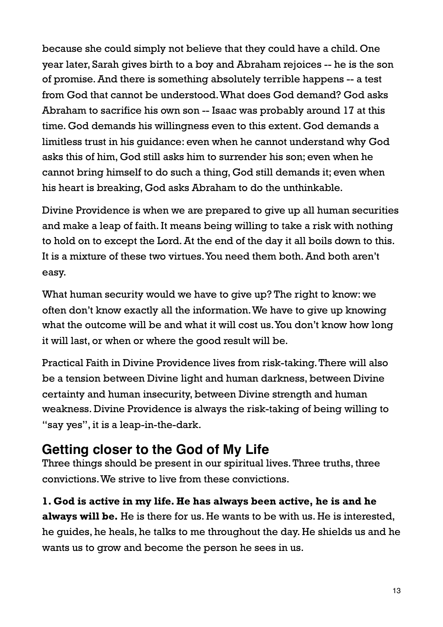because she could simply not believe that they could have a child. One year later, Sarah gives birth to a boy and Abraham rejoices -- he is the son of promise. And there is something absolutely terrible happens -- a test from God that cannot be understood. What does God demand? God asks Abraham to sacrifice his own son -- Isaac was probably around 17 at this time. God demands his willingness even to this extent. God demands a limitless trust in his guidance: even when he cannot understand why God asks this of him, God still asks him to surrender his son; even when he cannot bring himself to do such a thing, God still demands it; even when his heart is breaking, God asks Abraham to do the unthinkable.

Divine Providence is when we are prepared to give up all human securities and make a leap of faith. It means being willing to take a risk with nothing to hold on to except the Lord. At the end of the day it all boils down to this. It is a mixture of these two virtues. You need them both. And both aren't easy.

What human security would we have to give up? The right to know: we often don't know exactly all the information. We have to give up knowing what the outcome will be and what it will cost us. You don't know how long it will last, or when or where the good result will be.

Practical Faith in Divine Providence lives from risk-taking. There will also be a tension between Divine light and human darkness, between Divine certainty and human insecurity, between Divine strength and human weakness. Divine Providence is always the risk-taking of being willing to "say yes", it is a leap-in-the-dark.

## **Getting closer to the God of My Life**

Three things should be present in our spiritual lives. Three truths, three convictions. We strive to live from these convictions.

**1. God is active in my life. He has always been active, he is and he always will be.** He is there for us. He wants to be with us. He is interested, he guides, he heals, he talks to me throughout the day. He shields us and he wants us to grow and become the person he sees in us.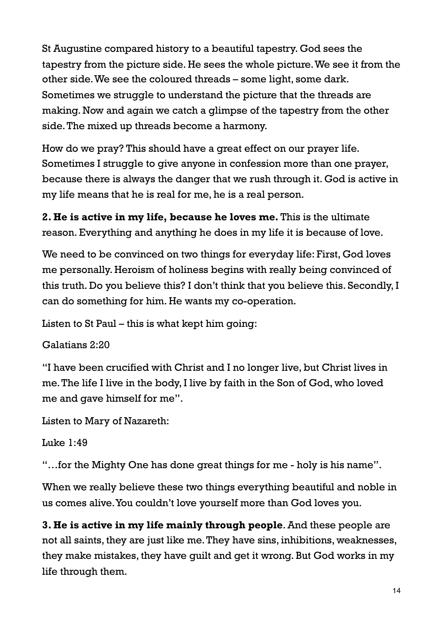St Augustine compared history to a beautiful tapestry. God sees the tapestry from the picture side. He sees the whole picture. We see it from the other side. We see the coloured threads – some light, some dark. Sometimes we struggle to understand the picture that the threads are making. Now and again we catch a glimpse of the tapestry from the other side. The mixed up threads become a harmony.

How do we pray? This should have a great effect on our prayer life. Sometimes I struggle to give anyone in confession more than one prayer, because there is always the danger that we rush through it. God is active in my life means that he is real for me, he is a real person.

**2. He is active in my life, because he loves me.** This is the ultimate reason. Everything and anything he does in my life it is because of love.

We need to be convinced on two things for everyday life: First, God loves me personally. Heroism of holiness begins with really being convinced of this truth. Do you believe this? I don't think that you believe this. Secondly, I can do something for him. He wants my co-operation.

Listen to St Paul – this is what kept him going:

Galatians 2:20

"I have been crucified with Christ and I no longer live, but Christ lives in me. The life I live in the body, I live by faith in the Son of God, who loved me and gave himself for me".

Listen to Mary of Nazareth:

Luke 1:49

"…for the Mighty One has done great things for me - holy is his name".

When we really believe these two things everything beautiful and noble in us comes alive. You couldn't love yourself more than God loves you.

**3. He is active in my life mainly through people**. And these people are not all saints, they are just like me. They have sins, inhibitions, weaknesses, they make mistakes, they have guilt and get it wrong. But God works in my life through them.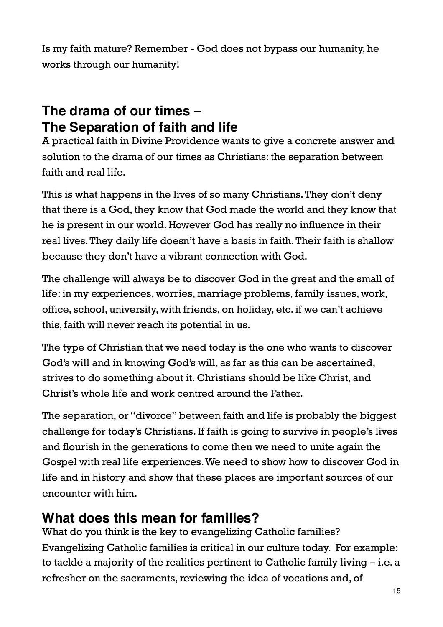Is my faith mature? Remember - God does not bypass our humanity, he works through our humanity!

# **The drama of our times – The Separation of faith and life**

A practical faith in Divine Providence wants to give a concrete answer and solution to the drama of our times as Christians: the separation between faith and real life.

This is what happens in the lives of so many Christians. They don't deny that there is a God, they know that God made the world and they know that he is present in our world. However God has really no influence in their real lives. They daily life doesn't have a basis in faith. Their faith is shallow because they don't have a vibrant connection with God.

The challenge will always be to discover God in the great and the small of life: in my experiences, worries, marriage problems, family issues, work, office, school, university, with friends, on holiday, etc. if we can't achieve this, faith will never reach its potential in us.

The type of Christian that we need today is the one who wants to discover God's will and in knowing God's will, as far as this can be ascertained, strives to do something about it. Christians should be like Christ, and Christ's whole life and work centred around the Father.

The separation, or "divorce" between faith and life is probably the biggest challenge for today's Christians. If faith is going to survive in people's lives and flourish in the generations to come then we need to unite again the Gospel with real life experiences. We need to show how to discover God in life and in history and show that these places are important sources of our encounter with him.

## **What does this mean for families?**

What do you think is the key to evangelizing Catholic families? Evangelizing Catholic families is critical in our culture today. For example: to tackle a majority of the realities pertinent to Catholic family living – i.e. a refresher on the sacraments, reviewing the idea of vocations and, of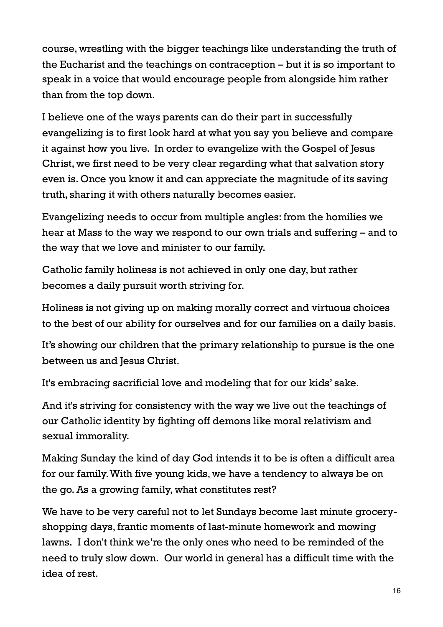course, wrestling with the bigger teachings like understanding the truth of the Eucharist and the teachings on contraception – but it is so important to speak in a voice that would encourage people from alongside him rather than from the top down.

I believe one of the ways parents can do their part in successfully evangelizing is to first look hard at what you say you believe and compare it against how you live. In order to evangelize with the Gospel of Jesus Christ, we first need to be very clear regarding what that salvation story even is. Once you know it and can appreciate the magnitude of its saving truth, sharing it with others naturally becomes easier.

Evangelizing needs to occur from multiple angles: from the homilies we hear at Mass to the way we respond to our own trials and suffering – and to the way that we love and minister to our family.

Catholic family holiness is not achieved in only one day, but rather becomes a daily pursuit worth striving for.

Holiness is not giving up on making morally correct and virtuous choices to the best of our ability for ourselves and for our families on a daily basis.

It's showing our children that the primary relationship to pursue is the one between us and Jesus Christ.

It's embracing sacrificial love and modeling that for our kids' sake.

And it's striving for consistency with the way we live out the teachings of our Catholic identity by fighting off demons like moral relativism and sexual immorality.

Making Sunday the kind of day God intends it to be is often a difficult area for our family. With five young kids, we have a tendency to always be on the go. As a growing family, what constitutes rest?

We have to be very careful not to let Sundays become last minute groceryshopping days, frantic moments of last-minute homework and mowing lawns. I don't think we're the only ones who need to be reminded of the need to truly slow down. Our world in general has a difficult time with the idea of rest.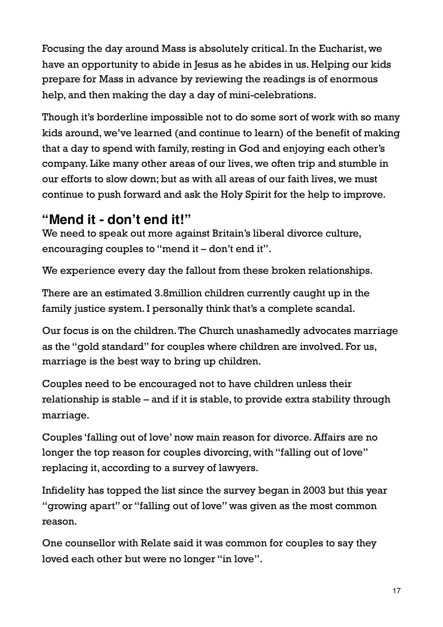Focusing the day around Mass is absolutely critical. In the Eucharist, we have an opportunity to abide in Jesus as he abides in us. Helping our kids prepare for Mass in advance by reviewing the readings is of enormous help, and then making the day a day of mini-celebrations.

Though it's borderline impossible not to do some sort of work with so many kids around, we've learned (and continue to learn) of the benefit of making that a day to spend with family, resting in God and enjoying each other's company. Like many other areas of our lives, we often trip and stumble in our efforts to slow down; but as with all areas of our faith lives, we must continue to push forward and ask the Holy Spirit for the help to improve.

## **"Mend it - don't end it!"**

We need to speak out more against Britain's liberal divorce culture, encouraging couples to "mend it – don't end it".

We experience every day the fallout from these broken relationships.

There are an estimated 3.8million children currently caught up in the family justice system. I personally think that's a complete scandal.

Our focus is on the children. The Church unashamedly advocates marriage as the "gold standard" for couples where children are involved. For us, marriage is the best way to bring up children.

Couples need to be encouraged not to have children unless their relationship is stable – and if it is stable, to provide extra stability through marriage.

Couples 'falling out of love' now main reason for divorce. Affairs are no longer the top reason for couples divorcing, with "falling out of love" replacing it, according to a survey of lawyers.

Infidelity has topped the list since the survey began in 2003 but this year "growing apart" or "falling out of love" was given as the most common reason.

One counsellor with Relate said it was common for couples to say they loved each other but were no longer "in love".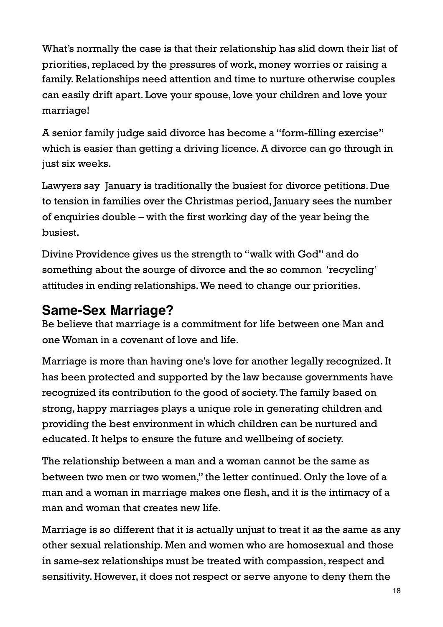What's normally the case is that their relationship has slid down their list of priorities, replaced by the pressures of work, money worries or raising a family. Relationships need attention and time to nurture otherwise couples can easily drift apart. Love your spouse, love your children and love your marriage!

A senior family judge said divorce has become a "form-filling exercise" which is easier than getting a driving licence. A divorce can go through in just six weeks.

Lawyers say January is traditionally the busiest for divorce petitions. Due to tension in families over the Christmas period, January sees the number of enquiries double – with the first working day of the year being the busiest.

Divine Providence gives us the strength to "walk with God" and do something about the sourge of divorce and the so common 'recycling' attitudes in ending relationships. We need to change our priorities.

## **Same-Sex Marriage?**

Be believe that marriage is a commitment for life between one Man and one Woman in a covenant of love and life.

Marriage is more than having one's love for another legally recognized. It has been protected and supported by the law because governments have recognized its contribution to the good of society. The family based on strong, happy marriages plays a unique role in generating children and providing the best environment in which children can be nurtured and educated. It helps to ensure the future and wellbeing of society.

The relationship between a man and a woman cannot be the same as between two men or two women," the letter continued. Only the love of a man and a woman in marriage makes one flesh, and it is the intimacy of a man and woman that creates new life.

Marriage is so different that it is actually unjust to treat it as the same as any other sexual relationship. Men and women who are homosexual and those in same-sex relationships must be treated with compassion, respect and sensitivity. However, it does not respect or serve anyone to deny them the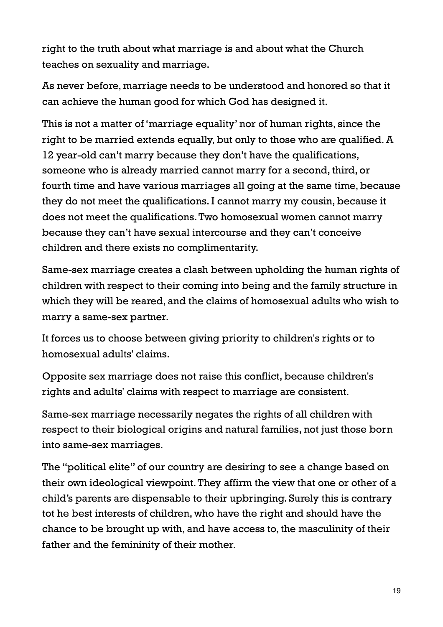right to the truth about what marriage is and about what the Church teaches on sexuality and marriage.

As never before, marriage needs to be understood and honored so that it can achieve the human good for which God has designed it.

This is not a matter of 'marriage equality' nor of human rights, since the right to be married extends equally, but only to those who are qualified. A 12 year-old can't marry because they don't have the qualifications, someone who is already married cannot marry for a second, third, or fourth time and have various marriages all going at the same time, because they do not meet the qualifications. I cannot marry my cousin, because it does not meet the qualifications. Two homosexual women cannot marry because they can't have sexual intercourse and they can't conceive children and there exists no complimentarity.

Same-sex marriage creates a clash between upholding the human rights of children with respect to their coming into being and the family structure in which they will be reared, and the claims of homosexual adults who wish to marry a same-sex partner.

It forces us to choose between giving priority to children's rights or to homosexual adults' claims.

Opposite sex marriage does not raise this conflict, because children's rights and adults' claims with respect to marriage are consistent.

Same-sex marriage necessarily negates the rights of all children with respect to their biological origins and natural families, not just those born into same-sex marriages.

The "political elite" of our country are desiring to see a change based on their own ideological viewpoint. They affirm the view that one or other of a child's parents are dispensable to their upbringing. Surely this is contrary tot he best interests of children, who have the right and should have the chance to be brought up with, and have access to, the masculinity of their father and the femininity of their mother.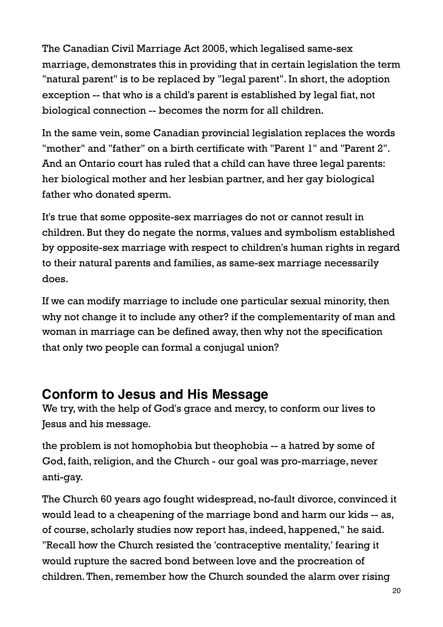The Canadian Civil Marriage Act 2005, which legalised same-sex marriage, demonstrates this in providing that in certain legislation the term "natural parent" is to be replaced by "legal parent". In short, the adoption exception -- that who is a child's parent is established by legal fiat, not biological connection -- becomes the norm for all children.

In the same vein, some Canadian provincial legislation replaces the words "mother" and "father" on a birth certificate with "Parent 1" and "Parent 2". And an Ontario court has ruled that a child can have three legal parents: her biological mother and her lesbian partner, and her gay biological father who donated sperm.

It's true that some opposite-sex marriages do not or cannot result in children. But they do negate the norms, values and symbolism established by opposite-sex marriage with respect to children's human rights in regard to their natural parents and families, as same-sex marriage necessarily does.

If we can modify marriage to include one particular sexual minority, then why not change it to include any other? if the complementarity of man and woman in marriage can be defined away, then why not the specification that only two people can formal a conjugal union?

### **Conform to Jesus and His Message**

We try, with the help of God's grace and mercy, to conform our lives to Jesus and his message.

the problem is not homophobia but theophobia -- a hatred by some of God, faith, religion, and the Church - our goal was pro-marriage, never anti-gay.

The Church 60 years ago fought widespread, no-fault divorce, convinced it would lead to a cheapening of the marriage bond and harm our kids -- as, of course, scholarly studies now report has, indeed, happened," he said. "Recall how the Church resisted the 'contraceptive mentality,' fearing it would rupture the sacred bond between love and the procreation of children. Then, remember how the Church sounded the alarm over rising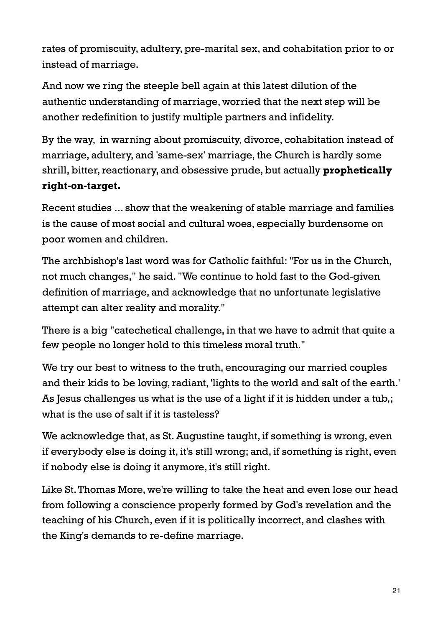rates of promiscuity, adultery, pre-marital sex, and cohabitation prior to or instead of marriage.

And now we ring the steeple bell again at this latest dilution of the authentic understanding of marriage, worried that the next step will be another redefinition to justify multiple partners and infidelity.

By the way, in warning about promiscuity, divorce, cohabitation instead of marriage, adultery, and 'same-sex' marriage, the Church is hardly some shrill, bitter, reactionary, and obsessive prude, but actually **prophetically right-on-target.**

Recent studies ... show that the weakening of stable marriage and families is the cause of most social and cultural woes, especially burdensome on poor women and children.

The archbishop's last word was for Catholic faithful: "For us in the Church, not much changes," he said. "We continue to hold fast to the God-given definition of marriage, and acknowledge that no unfortunate legislative attempt can alter reality and morality."

There is a big "catechetical challenge, in that we have to admit that quite a few people no longer hold to this timeless moral truth."

We try our best to witness to the truth, encouraging our married couples and their kids to be loving, radiant, 'lights to the world and salt of the earth.' As Jesus challenges us what is the use of a light if it is hidden under a tub,; what is the use of salt if it is tasteless?

We acknowledge that, as St. Augustine taught, if something is wrong, even if everybody else is doing it, it's still wrong; and, if something is right, even if nobody else is doing it anymore, it's still right.

Like St. Thomas More, we're willing to take the heat and even lose our head from following a conscience properly formed by God's revelation and the teaching of his Church, even if it is politically incorrect, and clashes with the King's demands to re-define marriage.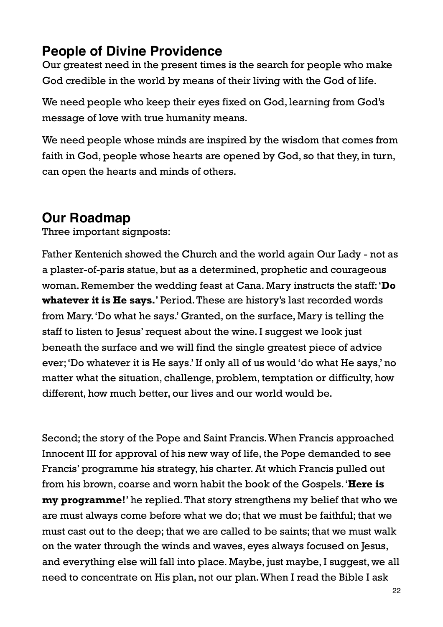## **People of Divine Providence**

Our greatest need in the present times is the search for people who make God credible in the world by means of their living with the God of life.

We need people who keep their eyes fixed on God, learning from God's message of love with true humanity means.

We need people whose minds are inspired by the wisdom that comes from faith in God, people whose hearts are opened by God, so that they, in turn, can open the hearts and minds of others.

# **Our Roadmap**

Three important signposts:

Father Kentenich showed the Church and the world again Our Lady - not as a plaster-of-paris statue, but as a determined, prophetic and courageous woman. Remember the wedding feast at Cana. Mary instructs the staff: '**Do whatever it is He says.**' Period. These are history's last recorded words from Mary. 'Do what he says.' Granted, on the surface, Mary is telling the staff to listen to Jesus' request about the wine. I suggest we look just beneath the surface and we will find the single greatest piece of advice ever; 'Do whatever it is He says.' If only all of us would 'do what He says,' no matter what the situation, challenge, problem, temptation or difficulty, how different, how much better, our lives and our world would be.

Second; the story of the Pope and Saint Francis. When Francis approached Innocent III for approval of his new way of life, the Pope demanded to see Francis' programme his strategy, his charter. At which Francis pulled out from his brown, coarse and worn habit the book of the Gospels. '**Here is my programme!**' he replied. That story strengthens my belief that who we are must always come before what we do; that we must be faithful; that we must cast out to the deep; that we are called to be saints; that we must walk on the water through the winds and waves, eyes always focused on Jesus, and everything else will fall into place. Maybe, just maybe, I suggest, we all need to concentrate on His plan, not our plan. When I read the Bible I ask